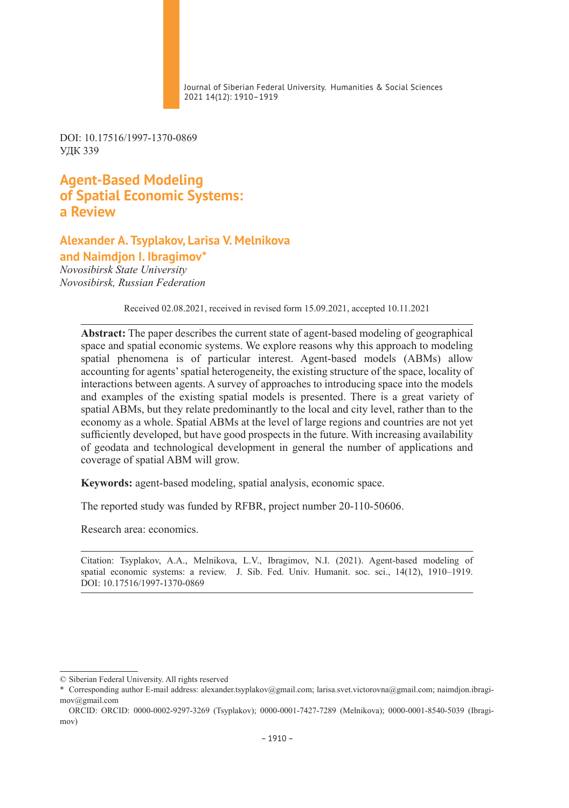Journal of Siberian Federal University. Humanities & Social Sciences 2021 14(12): 1910–1919

DOI: 10.17516/1997-1370-0869 УДК 339

**Agent-Based Modeling of Spatial Economic Systems: а Review**

**Alexander A. Tsyplakov, Larisa V. Melnikova and Naimdjon I. Ibragimov\***

*Novosibirsk State University Novosibirsk, Russian Federation* 

Received 02.08.2021, received in revised form 15.09.2021, accepted 10.11.2021

**Abstract:** The paper describes the current state of agent-based modeling of geographical space and spatial economic systems. We explore reasons why this approach to modeling spatial phenomena is of particular interest. Agent-based models (ABMs) allow accounting for agents' spatial heterogeneity, the existing structure of the space, locality of interactions between agents. A survey of approaches to introducing space into the models and examples of the existing spatial models is presented. There is a great variety of spatial ABMs, but they relate predominantly to the local and city level, rather than to the economy as a whole. Spatial ABMs at the level of large regions and countries are not yet sufficiently developed, but have good prospects in the future. With increasing availability of geodata and technological development in general the number of applications and coverage of spatial ABM will grow.

**Keywords:** agent-based modeling, spatial analysis, economic space.

The reported study was funded by RFBR, project number 20-110-50606.

Research area: economics.

Citation: Tsyplakov, A.A., Melnikova, L.V., Ibragimov, N.I. (2021). Agent-based modeling of spatial economic systems: а review. J. Sib. Fed. Univ. Humanit. soc. sci., 14(12), 1910–1919. DOI: 10.17516/1997-1370-0869

<sup>©</sup> Siberian Federal University. All rights reserved

<sup>\*</sup> Corresponding author E-mail address: alexander.tsyplakov@gmail.com; larisa.svet.victorovna@gmail.com; naimdjon.ibragimov@gmail.com

ORCID: ORCID: 0000-0002-9297-3269 (Tsyplakov); 0000-0001-7427-7289 (Melnikova); 0000-0001-8540-5039 (Ibragimov)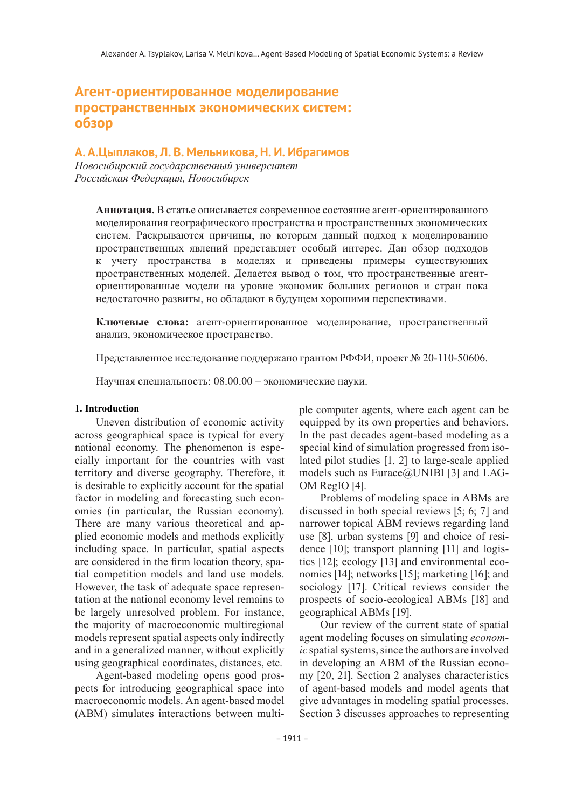# **Агент-ориентированное моделирование пространственных экономических систем: обзор**

### **А. А.Цыплаков, Л. В. Мельникова, Н. И. Ибрагимов**

*Новосибирский государственный университет Российская Федерация, Новосибирск*

**Аннотация.** В статье описывается современное состояние агент-ориентированного моделирования географического пространства и пространственных экономических систем. Раскрываются причины, по которым данный подход к моделированию пространственных явлений представляет особый интерес. Дан обзор подходов к учету пространства в моделях и приведены примеры существующих пространственных моделей. Делается вывод о том, что пространственные агенториентированные модели на уровне экономик больших регионов и стран пока недостаточно развиты, но обладают в будущем хорошими перспективами.

**Ключевые слова:** агент-ориентированное моделирование, пространственный анализ, экономическое пространство.

Представленное исследование поддержано грантом РФФИ, проект № 20-110-50606.

Научная специальность: 08.00.00 – экономические науки.

#### **1. Introduction**

Uneven distribution of economic activity across geographical space is typical for every national economy. The phenomenon is especially important for the countries with vast territory and diverse geography. Therefore, it is desirable to explicitly account for the spatial factor in modeling and forecasting such economies (in particular, the Russian economy). There are many various theoretical and applied economic models and methods explicitly including space. In particular, spatial aspects are considered in the firm location theory, spatial competition models and land use models. However, the task of adequate space representation at the national economy level remains to be largely unresolved problem. For instance, the majority of macroeconomic multiregional models represent spatial aspects only indirectly and in a generalized manner, without explicitly using geographical coordinates, distances, etc.

Agent-based modeling opens good prospects for introducing geographical space into macroeconomic models. An agent-based model (ABM) simulates interactions between multiple computer agents, where each agent can be equipped by its own properties and behaviors. In the past decades agent-based modeling as a special kind of simulation progressed from isolated pilot studies [1, 2] to large-scale applied models such as Eurace@UNIBI [3] and LAG-OM RegIO [4].

Problems of modeling space in ABMs are discussed in both special reviews [5; 6; 7] and narrower topical ABM reviews regarding land use [8], urban systems [9] and choice of residence [10]; transport planning [11] and logistics [12]; ecology [13] and environmental economics [14]; networks [15]; marketing [16]; and sociology [17]. Critical reviews consider the prospects of socio-ecological ABMs [18] and geographical ABMs [19].

Our review of the current state of spatial agent modeling focuses on simulating *economic* spatial systems, since the authors are involved in developing an ABМ of the Russian economy [20, 21]. Section 2 analyses characteristics of agent-based models and model agents that give advantages in modeling spatial processes. Section 3 discusses approaches to representing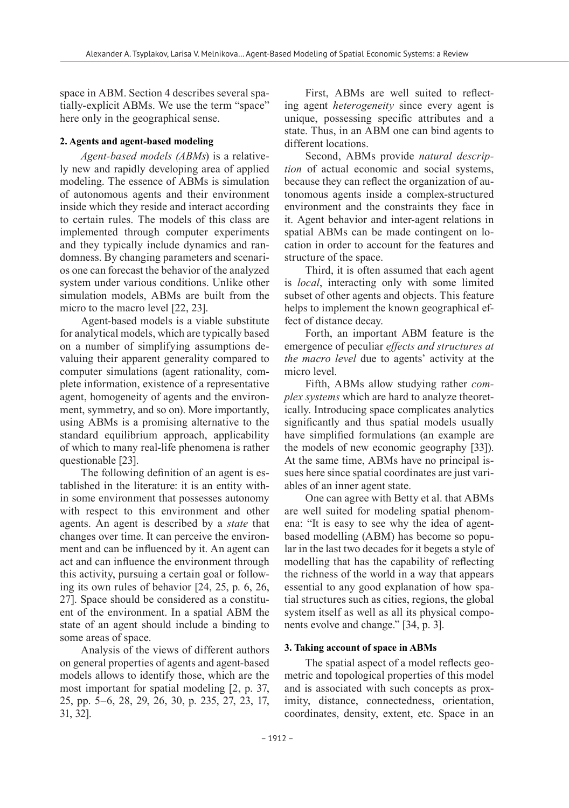space in ABM. Section 4 describes several spatially-explicit ABMs. We use the term "space" here only in the geographical sense.

### **2. Agents and agent-based modeling**

*Agent-based models (ABMs*) is a relatively new and rapidly developing area of applied modeling. The essence of ABMs is simulation of autonomous agents and their environment inside which they reside and interact according to certain rules. The models of this class are implemented through computer experiments and they typically include dynamics and randomness. By changing parameters and scenarios one can forecast the behavior of the analyzed system under various conditions. Unlike other simulation models, ABMs are built from the micro to the macro level [22, 23].

Agent-based models is a viable substitute for analytical models, which are typically based on a number of simplifying assumptions devaluing their apparent generality compared to computer simulations (agent rationality, complete information, existence of a representative agent, homogeneity of agents and the environment, symmetry, and so on). More importantly, using ABMs is a promising alternative to the standard equilibrium approach, applicability of which to many real-life phenomena is rather questionable [23].

The following definition of an agent is established in the literature: it is an entity within some environment that possesses autonomy with respect to this environment and other agents. An agent is described by a *state* that changes over time. It can perceive the environment and can be influenced by it. An agent can act and can influence the environment through this activity, pursuing a certain goal or following its own rules of behavior [24, 25, p. 6, 26, 27]. Space should be considered as a constituent of the environment. In a spatial ABM the state of an agent should include a binding to some areas of space.

Analysis of the views of different authors on general properties of agents and agent-based models allows to identify those, which are the most important for spatial modeling [2, p. 37, 25, pp. 5–6, 28, 29, 26, 30, p. 235, 27, 23, 17, 31, 32].

First, ABMs are well suited to reflecting agent *heterogeneity* since every agent is unique, possessing specific attributes and a state. Thus, in an ABM one can bind agents to different locations.

Second, ABMs provide *natural description* of actual economic and social systems, because they can reflect the organization of autonomous agents inside a complex-structured environment and the constraints they face in it. Agent behavior and inter-agent relations in spatial ABMs can be made contingent on location in order to account for the features and structure of the space.

Third, it is often assumed that each agent is *local*, interacting only with some limited subset of other agents and objects. This feature helps to implement the known geographical effect of distance decay.

Forth, an important ABM feature is the emergence of peculiar *effects and structures at the macro level* due to agents' activity at the micro level.

Fifth, ABMs allow studying rather *complex systems* which are hard to analyze theoretically. Introducing space complicates analytics significantly and thus spatial models usually have simplified formulations (an example are the models of new economic geography [33]). At the same time, ABMs have no principal issues here since spatial coordinates are just variables of an inner agent state.

One can agree with Betty et al. that ABMs are well suited for modeling spatial phenomena: "It is easy to see why the idea of agentbased modelling (ABM) has become so popular in the last two decades for it begets a style of modelling that has the capability of reflecting the richness of the world in a way that appears essential to any good explanation of how spatial structures such as cities, regions, the global system itself as well as all its physical components evolve and change." [34, p. 3].

## **3. Taking account of space in ABMs**

The spatial aspect of a model reflects geometric and topological properties of this model and is associated with such concepts as proximity, distance, connectedness, orientation, coordinates, density, extent, etc. Space in an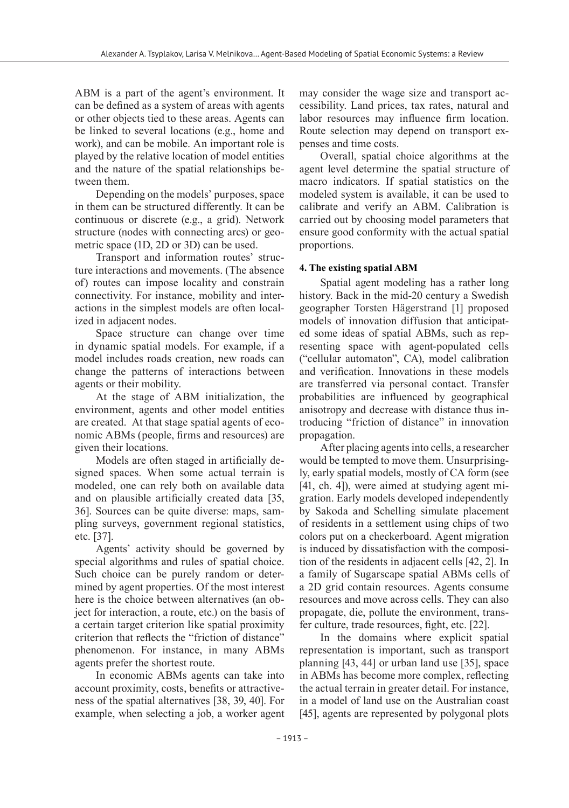ABM is a part of the agent's environment. It can be defined as a system of areas with agents or other objects tied to these areas. Agents can be linked to several locations (e.g., home and work), and can be mobile. An important role is played by the relative location of model entities and the nature of the spatial relationships between them.

Depending on the models' purposes, space in them can be structured differently. It can be continuous or discrete (e.g., a grid). Network structure (nodes with connecting arcs) or geometric space (1D, 2D or 3D) can be used.

Transport and information routes' structure interactions and movements. (The absence of) routes can impose locality and constrain connectivity. For instance, mobility and interactions in the simplest models are often localized in adjacent nodes.

Space structure can change over time in dynamic spatial models. For example, if a model includes roads creation, new roads can change the patterns of interactions between agents or their mobility.

At the stage of ABM initialization, the environment, agents and other model entities are created. At that stage spatial agents of economic ABMs (people, firms and resources) are given their locations.

Models are often staged in artificially designed spaces. When some actual terrain is modeled, one can rely both on available data and on plausible artificially created data [35, 36]. Sources can be quite diverse: maps, sampling surveys, government regional statistics, etc. [37].

Agents' activity should be governed by special algorithms and rules of spatial choice. Such choice can be purely random or determined by agent properties. Of the most interest here is the choice between alternatives (an object for interaction, a route, etc.) on the basis of a certain target criterion like spatial proximity criterion that reflects the "friction of distance" phenomenon. For instance, in many ABMs agents prefer the shortest route.

In economic ABMs agents can take into account proximity, costs, benefits or attractiveness of the spatial alternatives [38, 39, 40]. For example, when selecting a job, a worker agent may consider the wage size and transport accessibility. Land prices, tax rates, natural and labor resources may influence firm location. Route selection may depend on transport expenses and time costs.

Overall, spatial choice algorithms at the agent level determine the spatial structure of macro indicators. If spatial statistics on the modeled system is available, it can be used to calibrate and verify an ABM. Calibration is carried out by choosing model parameters that ensure good conformity with the actual spatial proportions.

## **4. The existing spatial ABM**

Spatial agent modeling has a rather long history. Back in the mid-20 century a Swedish geographer Torsten Hägerstrand [1] proposed models of innovation diffusion that anticipated some ideas of spatial ABMs, such as representing space with agent-populated cells ("cellular automaton", CA), model calibration and verification. Innovations in these models are transferred via personal contact. Transfer probabilities are influenced by geographical anisotropy and decrease with distance thus introducing "friction of distance" in innovation propagation.

After placing agents into cells, a researcher would be tempted to move them. Unsurprisingly, early spatial models, mostly of CA form (see [41, ch. 4]), were aimed at studying agent migration. Early models developed independently by Sakoda and Schelling simulate placement of residents in a settlement using chips of two colors put on a checkerboard. Agent migration is induced by dissatisfaction with the composition of the residents in adjacent cells [42, 2]. In a family of Sugarscape spatial ABMs cells of a 2D grid contain resources. Agents consume resources and move across cells. They can also propagate, die, pollute the environment, transfer culture, trade resources, fight, etc. [22].

In the domains where explicit spatial representation is important, such as transport planning [43, 44] or urban land use [35], space in ABMs has become more complex, reflecting the actual terrain in greater detail. For instance, in a model of land use on the Australian coast [45], agents are represented by polygonal plots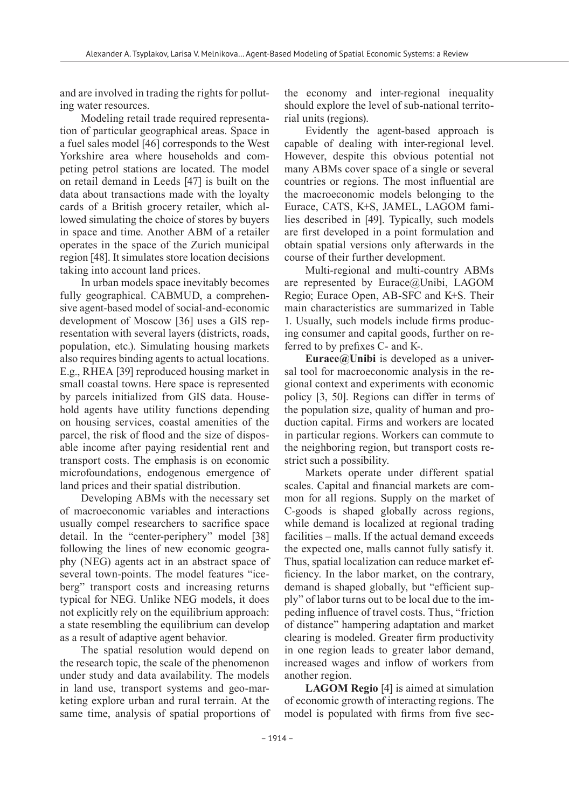and are involved in trading the rights for polluting water resources.

Modeling retail trade required representation of particular geographical areas. Space in a fuel sales model [46] corresponds to the West Yorkshire area where households and competing petrol stations are located. The model on retail demand in Leeds [47] is built on the data about transactions made with the loyalty cards of a British grocery retailer, which allowed simulating the choice of stores by buyers in space and time. Another ABM of a retailer operates in the space of the Zurich municipal region [48]. It simulates store location decisions taking into account land prices.

In urban models space inevitably becomes fully geographical. CABMUD, a comprehensive agent-based model of social-and-economic development of Moscow [36] uses a GIS representation with several layers (districts, roads, population, etc.). Simulating housing markets also requires binding agents to actual locations. E.g., RHEA [39] reproduced housing market in small coastal towns. Here space is represented by parcels initialized from GIS data. Household agents have utility functions depending on housing services, coastal amenities of the parcel, the risk of flood and the size of disposable income after paying residential rent and transport costs. The emphasis is on economic microfoundations, endogenous emergence of land prices and their spatial distribution.

Developing ABMs with the necessary set of macroeconomic variables and interactions usually compel researchers to sacrifice space detail. In the "center-periphery" model [38] following the lines of new economic geography (NEG) agents act in an abstract space of several town-points. The model features "iceberg" transport costs and increasing returns typical for NEG. Unlike NEG models, it does not explicitly rely on the equilibrium approach: a state resembling the equilibrium can develop as a result of adaptive agent behavior.

The spatial resolution would depend on the research topic, the scale of the phenomenon under study and data availability. The models in land use, transport systems and geo-marketing explore urban and rural terrain. At the same time, analysis of spatial proportions of the economy and inter-regional inequality should explore the level of sub-national territorial units (regions).

Evidently the agent-based approach is capable of dealing with inter-regional level. However, despite this obvious potential not many ABMs cover space of a single or several countries or regions. The most influential are the macroeconomic models belonging to the Eurace, CATS, K+S, JAMEL, LAGOM families described in [49]. Typically, such models are first developed in a point formulation and obtain spatial versions only afterwards in the course of their further development.

Multi-regional and multi-country ABMs are represented by Eurace@Unibi, LAGOM Regio; Eurace Open, AB-SFC and K+S. Their main characteristics are summarized in Table 1. Usually, such models include firms producing consumer and capital goods, further on referred to by prefixes С- and К-.

**Eurace@Unibi** is developed as a universal tool for macroeconomic analysis in the regional context and experiments with economic policy [3, 50]. Regions can differ in terms of the population size, quality of human and production capital. Firms and workers are located in particular regions. Workers can commute to the neighboring region, but transport costs restrict such a possibility.

Markets operate under different spatial scales. Capital and financial markets are common for all regions. Supply on the market of С-goods is shaped globally across regions, while demand is localized at regional trading facilities – malls. If the actual demand exceeds the expected one, malls cannot fully satisfy it. Thus, spatial localization can reduce market efficiency. In the labor market, on the contrary, demand is shaped globally, but "efficient supply" of labor turns out to be local due to the impeding influence of travel costs. Thus, "friction of distance" hampering adaptation and market clearing is modeled. Greater firm productivity in one region leads to greater labor demand, increased wages and inflow of workers from another region.

**LAGOM Regio** [4] is aimed at simulation of economic growth of interacting regions. The model is populated with firms from five sec-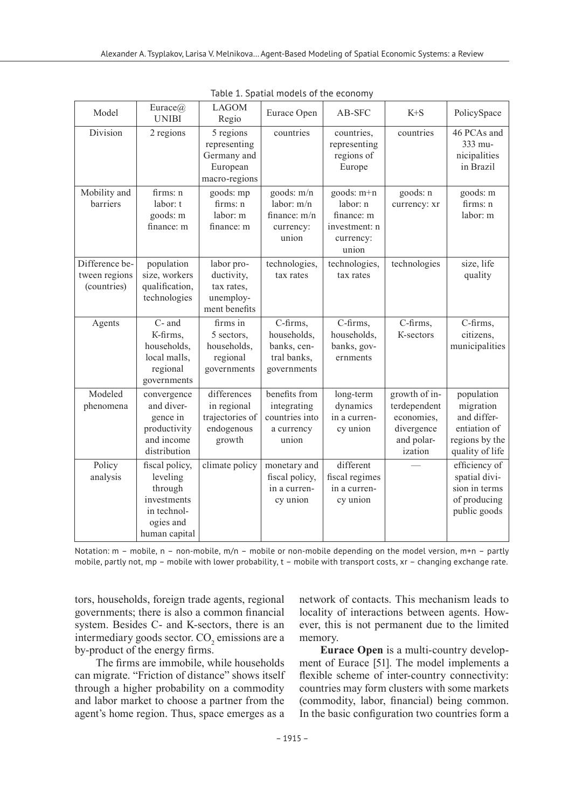| Model                                          | Eurace $@$<br><b>UNIBI</b>                                                                        | <b>LAGOM</b><br>Regio                                                 | Eurace Open                                                           | AB-SFC                                                                      | $K + S$                                                                            | PolicySpace                                                                                 |
|------------------------------------------------|---------------------------------------------------------------------------------------------------|-----------------------------------------------------------------------|-----------------------------------------------------------------------|-----------------------------------------------------------------------------|------------------------------------------------------------------------------------|---------------------------------------------------------------------------------------------|
| Division                                       | 2 regions                                                                                         | 5 regions<br>representing<br>Germany and<br>European<br>macro-regions | countries                                                             | countries,<br>representing<br>regions of<br>Europe                          | countries                                                                          | 46 PCAs and<br>333 mu-<br>nicipalities<br>in Brazil                                         |
| Mobility and<br>barriers                       | firms: n<br>labor: t<br>goods: m<br>finance: m                                                    | goods: mp<br>firms: n<br>labor: m<br>finance: m                       | goods: m/n<br>labor: m/n<br>finance: m/n<br>currency:<br>union        | goods: m+n<br>labor: n<br>finance: m<br>investment: n<br>currency:<br>union | goods: n<br>currency: xr                                                           | goods: m<br>firms: n<br>labor: m                                                            |
| Difference be-<br>tween regions<br>(countries) | population<br>size, workers<br>qualification,<br>technologies                                     | labor pro-<br>ductivity,<br>tax rates,<br>unemploy-<br>ment benefits  | technologies,<br>tax rates                                            | technologies,<br>tax rates                                                  | technologies                                                                       | size, life<br>quality                                                                       |
| Agents                                         | C- and<br>K-firms,<br>households,<br>local malls,<br>regional<br>governments                      | firms in<br>5 sectors.<br>households,<br>regional<br>governments      | C-firms,<br>households.<br>banks, cen-<br>tral banks,<br>governments  | C-firms,<br>households.<br>banks, gov-<br>ernments                          | C-firms,<br>K-sectors                                                              | C-firms,<br>citizens,<br>municipalities                                                     |
| Modeled<br>phenomena                           | convergence<br>and diver-<br>gence in<br>productivity<br>and income<br>distribution               | differences<br>in regional<br>trajectories of<br>endogenous<br>growth | benefits from<br>integrating<br>countries into<br>a currency<br>union | long-term<br>dynamics<br>in a curren-<br>cy union                           | growth of in-<br>terdependent<br>economies,<br>divergence<br>and polar-<br>ization | population<br>migration<br>and differ-<br>entiation of<br>regions by the<br>quality of life |
| Policy<br>analysis                             | fiscal policy,<br>leveling<br>through<br>investments<br>in technol-<br>ogies and<br>human capital | climate policy                                                        | monetary and<br>fiscal policy,<br>in a curren-<br>cy union            | different<br>fiscal regimes<br>in a curren-<br>cy union                     |                                                                                    | efficiency of<br>spatial divi-<br>sion in terms<br>of producing<br>public goods             |

Table 1. Spatial models of the economy

Notation: m – mobile, n – non-mobile, m/n – mobile or non-mobile depending on the model version, m+n – partly mobile, partly not, mp – mobile with lower probability, t – mobile with transport costs, xr – changing exchange rate.

tors, households, foreign trade agents, regional governments; there is also a common financial system. Besides C- and K-sectors, there is an intermediary goods sector.  $CO<sub>2</sub>$  emissions are a by-product of the energy firms.

The firms are immobile, while households can migrate. "Friction of distance" shows itself through a higher probability on a commodity and labor market to choose a partner from the agent's home region. Thus, space emerges as a

network of contacts. This mechanism leads to locality of interactions between agents. However, this is not permanent due to the limited memory.

**Eurace Open** is a multi-country development of Eurace [51]. The model implements a flexible scheme of inter-country connectivity: countries may form clusters with some markets (commodity, labor, financial) being common. In the basic configuration two countries form a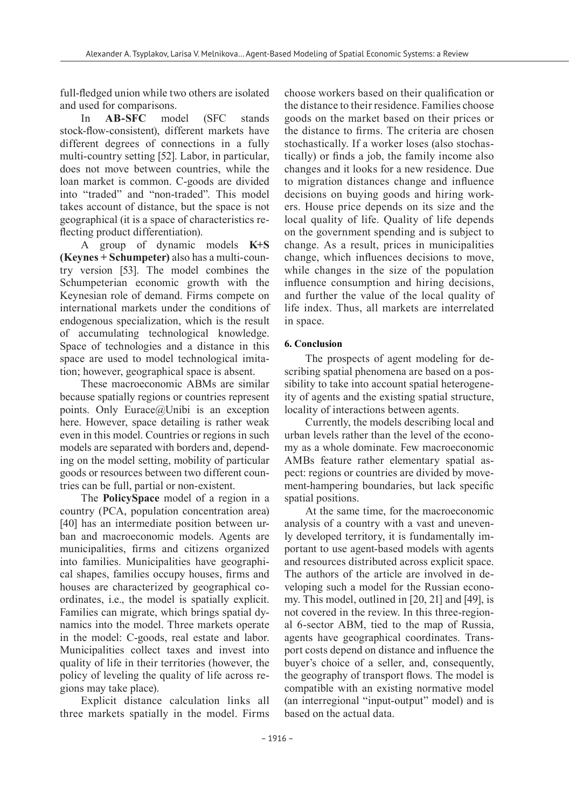full-fledged union while two others are isolated and used for comparisons.

In **AB-SFC** model (SFC stands stock-flow-consistent), different markets have different degrees of connections in a fully multi-country setting [52]. Labor, in particular, does not move between countries, while the loan market is common. C-goods are divided into "traded" and "non-traded". This model takes account of distance, but the space is not geographical (it is a space of characteristics reflecting product differentiation).

A group of dynamic models **K+S (Keynes + Schumpeter)** also has a multi-country version [53]. The model combines the Schumpeterian economic growth with the Keynesian role of demand. Firms compete on international markets under the conditions of endogenous specialization, which is the result of accumulating technological knowledge. Space of technologies and a distance in this space are used to model technological imitation; however, geographical space is absent.

These macroeconomic ABMs are similar because spatially regions or countries represent points. Only Eurace@Unibi is an exception here. However, space detailing is rather weak even in this model. Countries or regions in such models are separated with borders and, depending on the model setting, mobility of particular goods or resources between two different countries can be full, partial or non-existent.

The **PolicySpace** model of a region in a country (PCA, population concentration area) [40] has an intermediate position between urban and macroeconomic models. Agents are municipalities, firms and citizens organized into families. Municipalities have geographical shapes, families occupy houses, firms and houses are characterized by geographical coordinates, i.e., the model is spatially explicit. Families can migrate, which brings spatial dynamics into the model. Three markets operate in the model: С-goods, real estate and labor. Municipalities collect taxes and invest into quality of life in their territories (however, the policy of leveling the quality of life across regions may take place).

Explicit distance calculation links all three markets spatially in the model. Firms choose workers based on their qualification or the distance to their residence. Families choose goods on the market based on their prices or the distance to firms. The criteria are chosen stochastically. If a worker loses (also stochastically) or finds a job, the family income also changes and it looks for a new residence. Due to migration distances change and influence decisions on buying goods and hiring workers. House price depends on its size and the local quality of life. Quality of life depends on the government spending and is subject to change. As a result, prices in municipalities change, which influences decisions to move, while changes in the size of the population influence consumption and hiring decisions, and further the value of the local quality of life index. Thus, all markets are interrelated in space.

# **6. Conclusion**

The prospects of agent modeling for describing spatial phenomena are based on a possibility to take into account spatial heterogeneity of agents and the existing spatial structure, locality of interactions between agents.

Currently, the models describing local and urban levels rather than the level of the economy as a whole dominate. Few macroeconomic AMBs feature rather elementary spatial aspect: regions or countries are divided by movement-hampering boundaries, but lack specific spatial positions.

At the same time, for the macroeconomic analysis of a country with a vast and unevenly developed territory, it is fundamentally important to use agent-based models with agents and resources distributed across explicit space. The authors of the article are involved in developing such a model for the Russian economy. This model, outlined in [20, 21] and [49], is not covered in the review. In this three-regional 6-sector ABM, tied to the map of Russia, agents have geographical coordinates. Transport costs depend on distance and influence the buyer's choice of a seller, and, consequently, the geography of transport flows. The model is compatible with an existing normative model (an interregional "input-output" model) and is based on the actual data.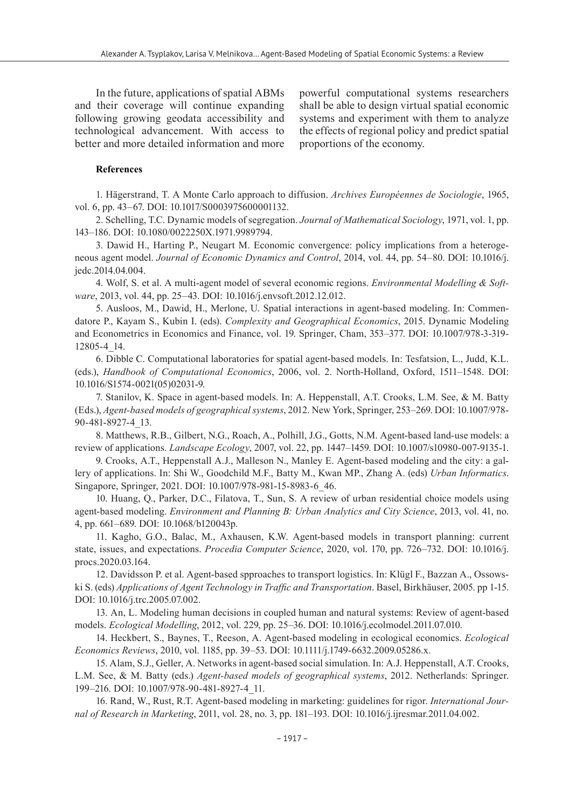In the future, applications of spatial ABMs and their coverage will continue expanding following growing geodata accessibility and technological advancement. With access to better and more detailed information and more

powerful computational systems researchers shall be able to design virtual spatial economic systems and experiment with them to analyze the effects of regional policy and predict spatial proportions of the economy.

#### **References**

1. Hägerstrand, T. A Monte Carlo approach to diffusion. *Archives Européennes de Sociologie*, 1965, vol. 6, pp. 43–67. DOI: 10.1017/S0003975600001132.

2. Schelling, T.C. Dynamic models of segregation. *Journal of Mathematical Sociology*, 1971, vol. 1, pp. 143–186. DOI: 10.1080/0022250X.1971.9989794.

3. Dawid H., Harting P., Neugart M. Economic convergence: policy implications from a heterogeneous agent model. *Journal of Economic Dynamics and Control*, 2014, vol. 44, pp. 54–80. DOI: 10.1016/j. jedc.2014.04.004.

4. Wolf, S. et al. A multi-agent model of several economic regions. *Environmental Modelling & Software*, 2013, vol. 44, pp. 25–43. DOI: 10.1016/j.envsoft.2012.12.012.

5. Ausloos, M., Dawid, H., Merlone, U. Spatial interactions in agent-based modeling. In: Commendatore P., Kayam S., Kubin I. (eds). *Complexity and Geographical Economics*, 2015. Dynamic Modeling and Econometrics in Economics and Finance, vol. 19. Springer, Cham, 353–377. DOI: 10.1007/978-3-319- 12805-4\_14.

6. Dibble C. Computational laboratories for spatial agent-based models. In: Tesfatsion, L., Judd, K.L. (eds.), *Handbook of Computational Economics*, 2006, vol. 2. North-Holland, Oxford, 1511–1548. DOI: 10.1016/S1574-0021(05)02031-9.

7. Stanilov, K. Space in agent-based models. In: A. Heppenstall, A.T. Crooks, L.M. See, & M. Batty (Eds.), *Agent-based models of geographical systems*, 2012. New York, Springer, 253–269. DOI: 10.1007/978- 90-481-8927-4\_13.

8. Matthews, R.B., Gilbert, N.G., Roach, A., Polhill, J.G., Gotts, N.M. Agent-based land-use models: a review of applications. *Landscape Ecology*, 2007, vol. 22, pp. 1447–1459. DOI: 10.1007/s10980-007-9135-1.

9. Crooks, A.T., Heppenstall A.J., Malleson N., Manley E. Agent-based modeling and the city: a gallery of applications. In: Shi W., Goodchild M.F., Batty M., Kwan MP., Zhang A. (eds) *Urban Informatics*. Singapore, Springer, 2021. DOI: 10.1007/978-981-15-8983-6\_46.

10. Huang, Q., Parker, D.C., Filatova, T., Sun, S. A review of urban residential choice models using agent-based modeling. *Environment and Planning B: Urban Analytics and City Science*, 2013, vol. 41, no. 4, pp. 661–689. DOI: 10.1068/b120043p.

11. Kagho, G.O., Balac, M., Axhausen, K.W. Agent-based models in transport planning: current state, issues, and expectations. *Procedia Computer Science*, 2020, vol. 170, pp. 726–732. DOI: 10.1016/j. procs.2020.03.164.

12. Davidsson P. et al. Agent-based spproaches to transport logistics. In: Klügl F., Bazzan A., Ossowski S. (eds) *Applications of Agent Technology in Traffic and Transportation*. Basel, Birkhäuser, 2005. pp 1-15. DOI: 10.1016/j.trc.2005.07.002.

13. An, L. Modeling human decisions in coupled human and natural systems: Review of agent-based models. *Ecological Modelling*, 2012, vol. 229, pp. 25–36. DOI: 10.1016/j.ecolmodel.2011.07.010.

14. Heckbert, S., Baynes, T., Reeson, A. Agent-based modeling in ecological economics. *Ecological Economics Reviews*, 2010, vol. 1185, pp. 39–53. DOI: 10.1111/j.1749-6632.2009.05286.x.

15. Alam, S.J., Geller, A. Networks in agent-based social simulation. In: A.J. Heppenstall, A.T. Crooks, L.M. See, & M. Batty (eds.) *Agent-based models of geographical systems*, 2012. Netherlands: Springer. 199–216. DOI: 10.1007/978-90-481-8927-4\_11.

16. Rand, W., Rust, R.T. Agent-based modeling in marketing: guidelines for rigor. *International Journal of Research in Marketing*, 2011, vol. 28, no. 3, pp. 181–193. DOI: 10.1016/j.ijresmar.2011.04.002.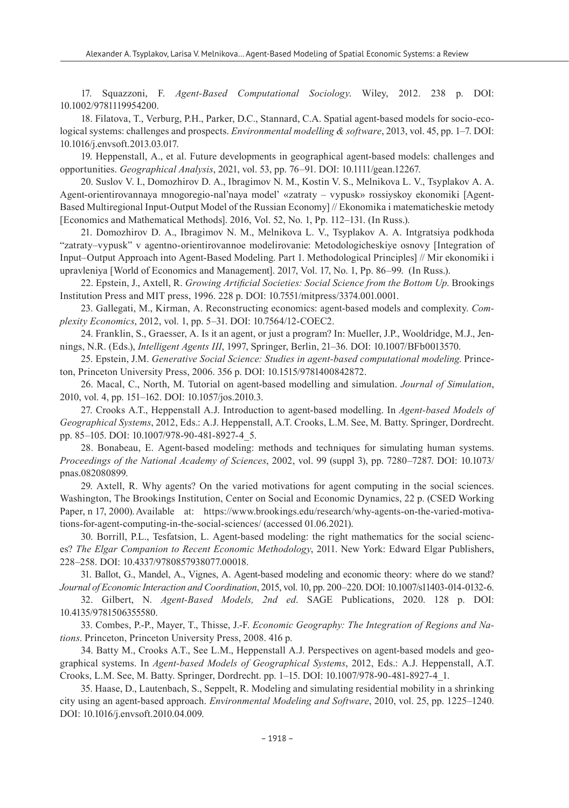17. Squazzoni, F. *Agent-Based Computational Sociology*. Wiley, 2012. 238 p. DOI: 10.1002/9781119954200.

18. Filatova, T., Verburg, P.H., Parker, D.C., Stannard, C.A. Spatial agent-based models for socio-ecological systems: challenges and prospects. *Environmental modelling & software*, 2013, vol. 45, pp. 1–7. DOI: 10.1016/j.envsoft.2013.03.017.

19. Heppenstall, A., et al. Future developments in geographical agent-based models: challenges and opportunities. *Geographical Analysis*, 2021, vol. 53, pp. 76–91. DOI: 10.1111/gean.12267.

20. Suslov V. I., Domozhirov D. A., Ibragimov N. M., Kostin V. S., Melnikova L. V., Tsyplakov A. A. Agent-orientirovannaya mnogoregio-nal'naya model' «zatraty – vypusk» rossiyskoy ekonomiki [Agent-Based Multiregional Input-Output Model of the Russian Economy] // Ekonomika i matematicheskie metody [Economics and Mathematical Methods]. 2016, Vol. 52, No. 1, Pp. 112–131. (In Russ.).

21. Domozhirov D. A., Ibragimov N. M., Melnikova L. V., Tsyplakov A. A. Intgratsiya podkhoda "zatraty–vypusk" v agentno-orientirovannoe modelirovanie: Metodologicheskiye osnovy [Integration of Input–Output Approach into Agent-Based Modeling. Part 1. Methodological Principles] // Mir ekonomiki i upravleniya [World of Economics and Management]. 2017, Vol. 17, No. 1, Pp. 86–99. (In Russ.).

22. Epstein, J., Axtell, R. *Growing Artificial Societies: Social Science from the Bottom Up*. Brookings Institution Press and MIT press, 1996. 228 p. DOI: 10.7551/mitpress/3374.001.0001.

23. Gallegati, M., Kirman, A. Reconstructing economics: agent-based models and complexity. *Complexity Economics*, 2012, vol. 1, pp. 5–31. DOI: 10.7564/12-COEC2.

24. Franklin, S., Graesser, A. Is it an agent, or just a program? In: Mueller, J.P., Wooldridge, M.J., Jennings, N.R. (Eds.), *Intelligent Agents III*, 1997, Springer, Berlin, 21–36. DOI: 10.1007/BFb0013570.

25. Epstein, J.M. *Generative Social Science: Studies in agent-based computational modeling*. Princeton, Princeton University Press, 2006. 356 p. DOI: 10.1515/9781400842872.

26. Macal, C., North, M. Tutorial on agent-based modelling and simulation. *Journal of Simulation*, 2010, vol. 4, pp. 151–162. DOI: 10.1057/jos.2010.3.

27. Crooks A.T., Heppenstall A.J. Introduction to agent-based modelling. In *Agent-based Models of Geographical Systems*, 2012, Eds.: A.J. Heppenstall, A.T. Crooks, L.M. See, M. Batty. Springer, Dordrecht. pp. 85–105. DOI: 10.1007/978-90-481-8927-4\_5.

28. Bonabeau, E. Agent-based modeling: methods and techniques for simulating human systems. *Proceedings of the National Academy of Sciences*, 2002, vol. 99 (suppl 3), pp. 7280–7287. DOI: 10.1073/ pnas.082080899.

29. Axtell, R. Why agents? On the varied motivations for agent computing in the social sciences. Washington, The Brookings Institution, Center on Social and Economic Dynamics, 22 p. (CSED Working Paper, n 17, 2000). Available at: https://www.brookings.edu/research/why-agents-on-the-varied-motivations-for-agent-computing-in-the-social-sciences/ (accessed 01.06.2021).

30. Borrill, P.L., Tesfatsion, L. Agent-based modeling: the right mathematics for the social sciences? *The Elgar Companion to Recent Economic Methodology*, 2011. New York: Edward Elgar Publishers, 228–258. DOI: 10.4337/9780857938077.00018.

31. Ballot, G., Mandel, A., Vignes, A. Agent-based modeling and economic theory: where do we stand? *Journal of Economic Interaction and Coordination*, 2015, vol. 10, pp. 200–220. DOI: 10.1007/s11403-014-0132-6.

32. Gilbert, N. *Agent-Based Models, 2nd ed*. SAGE Publications, 2020. 128 p. DOI: 10.4135/9781506355580.

33. Combes, P.-P., Mayer, T., Thisse, J.-F. *Economic Geography: The Integration of Regions and Nations*. Princeton, Princeton University Press, 2008. 416 p.

34. Batty M., Crooks A.T., See L.M., Heppenstall A.J. Perspectives on agent-based models and geographical systems. In *Agent-based Models of Geographical Systems*, 2012, Eds.: A.J. Heppenstall, A.T. Crooks, L.M. See, M. Batty. Springer, Dordrecht. pp. 1–15. DOI: 10.1007/978-90-481-8927-4\_1.

35. Haase, D., Lautenbach, S., Seppelt, R. Modeling and simulating residential mobility in a shrinking city using an agent-based approach. *Environmental Modeling and Software*, 2010, vol. 25, pp. 1225–1240. DOI: 10.1016/j.envsoft.2010.04.009.